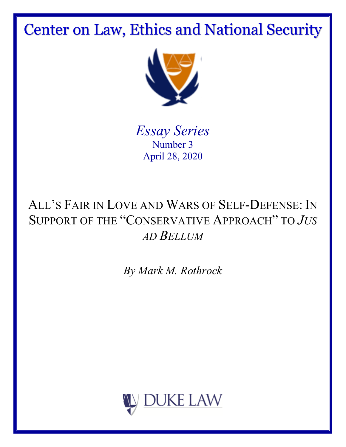Center on Law, Ethics and National Security



*Essay Series* Number 3 April 28, 2020

# ALL'S FAIR IN LOVE AND WARS OF SELF-DEFENSE: IN SUPPORT OF THE "CONSERVATIVE APPROACH" TO *JUS AD BELLUM*

*By Mark M. Rothrock*

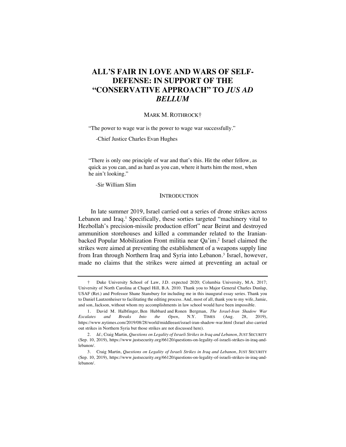# **ALL'S FAIR IN LOVE AND WARS OF SELF-DEFENSE: IN SUPPORT OF THE "CONSERVATIVE APPROACH" TO** *JUS AD BELLUM*

#### MARK M. ROTHROCK†

"The power to wage war is the power to wage war successfully."

-Chief Justice Charles Evan Hughes

"There is only one principle of war and that's this. Hit the other fellow, as quick as you can, and as hard as you can, where it hurts him the most, when he ain't looking."

-Sir William Slim

# **INTRODUCTION**

In late summer 2019, Israel carried out a series of drone strikes across Lebanon and Iraq.<sup>1</sup> Specifically, these sorties targeted "machinery vital to Hezbollah's precision-missile production effort" near Beirut and destroyed ammunition storehouses and killed a commander related to the Iranianbacked Popular Mobilization Front militia near Qa'im.2 Israel claimed the strikes were aimed at preventing the establishment of a weapons supply line from Iran through Northern Iraq and Syria into Lebanon.<sup>3</sup> Israel, however, made no claims that the strikes were aimed at preventing an actual or

<sup>†</sup> Duke University School of Law, J.D. expected 2020; Columbia University, M.A. 2017; University of North Carolina at Chapel Hill, B.A. 2010. Thank you to Major General Charles Dunlap, USAF (Ret.) and Professor Shane Stansbury for including me in this inaugural essay series. Thank you to Daniel Lautzenheiser to facilitating the editing process. And, most of all, thank you to my wife, Jamie, and son, Jackson, without whom my accomplishments in law school would have been impossible.

<sup>1.</sup> David M. Halbfinger, Ben Hubbard and Ronen Bergman, *The Israel-Iran Shadow War Escalates and Breaks Into the Open*, N.Y. TIMES (Aug. 28, 2019), https://www.nytimes.com/2019/08/28/world/middleeast/israel-iran-shadow-war.html (Israel also carried out strikes in Northern Syria but those strikes are not discussed here).

<sup>2.</sup> *Id.*; Craig Martin, *Questions on Legality of Israeli Strikes in Iraq and Lebanon*, JUST SECURITY (Sep. 10, 2019), https://www.justsecurity.org/66120/questions-on-legality-of-israeli-strikes-in-iraq-andlebanon/.

<sup>3.</sup> Craig Martin, *Questions on Legality of Israeli Strikes in Iraq and Lebanon*, JUST SECURITY (Sep. 10, 2019), https://www.justsecurity.org/66120/questions-on-legality-of-israeli-strikes-in-iraq-andlebanon/.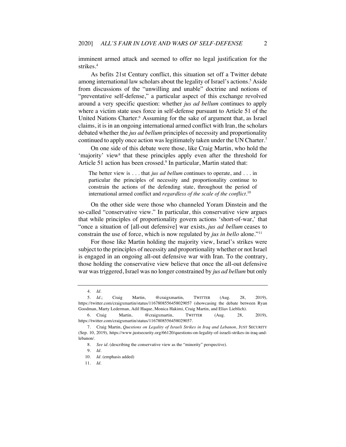imminent armed attack and seemed to offer no legal justification for the strikes.4

As befits 21st Century conflict, this situation set off a Twitter debate among international law scholars about the legality of Israel's actions.<sup>5</sup> Aside from discussions of the "unwilling and unable" doctrine and notions of "preventative self-defense," a particular aspect of this exchange revolved around a very specific question: whether *jus ad bellum* continues to apply where a victim state uses force in self-defense pursuant to Article 51 of the United Nations Charter.<sup>6</sup> Assuming for the sake of argument that, as Israel claims, it is in an ongoing international armed conflict with Iran, the scholars debated whether the *jus ad bellum* principles of necessity and proportionality continued to apply once action was legitimately taken under the UN Charter.<sup>7</sup>

On one side of this debate were those, like Craig Martin, who hold the 'majority' view<sup>8</sup> that these principles apply even after the threshold for Article 51 action has been crossed.<sup>9</sup> In particular, Martin stated that:

The better view is . . . that *jus ad bellum* continues to operate, and . . . in particular the principles of necessity and proportionality continue to constrain the actions of the defending state, throughout the period of international armed conflict and *regardless of the scale of the conflict*. 10

On the other side were those who channeled Yoram Dinstein and the so-called "conservative view." In particular, this conservative view argues that while principles of proportionality govern actions 'short-of-war,' that "once a situation of [all-out defensive] war exists, *jus ad bellum* ceases to constrain the use of force, which is now regulated by *jus in bello* alone."11

For those like Martin holding the majority view, Israel's strikes were subject to the principles of necessity and proportionality whether or not Israel is engaged in an ongoing all-out defensive war with Iran. To the contrary, those holding the conservative view believe that once the all-out defensive war was triggered, Israel was no longer constrained by *jus ad bellum* but only

<sup>4.</sup> *Id.*

<sup>5.</sup> *Id.*; Craig Martin, @craigxmartin, TWITTER (Aug. 28, 2019), https://twitter.com/craigxmartin/status/1167808556458029057 (showcasing the debate between Ryan Goodman, Marty Lederman, Adil Haque, Monica Hakimi, Craig Martin, and Eliav Lieblich).

<sup>6.</sup> Craig Martin, @craigxmartin, TWITTER (Aug. 28, 2019), https://twitter.com/craigxmartin/status/1167808556458029057.

<sup>7.</sup> Craig Martin, *Questions on Legality of Israeli Strikes in Iraq and Lebanon*, JUST SECURITY (Sep. 10, 2019), https://www.justsecurity.org/66120/questions-on-legality-of-israeli-strikes-in-iraq-andlebanon/.

<sup>8.</sup> *See id.* (describing the conservative view as the "minority" perspective).

<sup>9.</sup> *Id.*

<sup>10.</sup> *Id.* (emphasis added)

<sup>11.</sup> *Id.*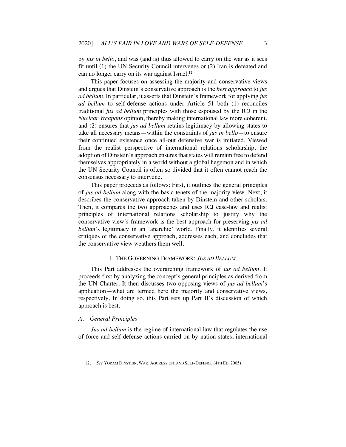by *jus in bello*, and was (and is) thus allowed to carry on the war as it sees fit until (1) the UN Security Council intervenes or (2) Iran is defeated and can no longer carry on its war against Israel.<sup>12</sup>

This paper focuses on assessing the majority and conservative views and argues that Dinstein's conservative approach is the *best approach* to *jus ad bellum*. In particular, it asserts that Dinstein's framework for applying *jus ad bellum* to self-defense actions under Article 51 both (1) reconciles traditional *jus ad bellum* principles with those espoused by the ICJ in the *Nuclear Weapons* opinion, thereby making international law more coherent, and (2) ensures that *jus ad bellum* retains legitimacy by allowing states to take all necessary means—within the constraints of *jus in bello*—to ensure their continued existence once all-out defensive war is initiated. Viewed from the realist perspective of international relations scholarship, the adoption of Dinstein's approach ensures that states will remain free to defend themselves appropriately in a world without a global hegemon and in which the UN Security Council is often so divided that it often cannot reach the consensus necessary to intervene.

This paper proceeds as follows: First, it outlines the general principles of *jus ad bellum* along with the basic tenets of the majority view. Next, it describes the conservative approach taken by Dinstein and other scholars. Then, it compares the two approaches and uses ICJ case-law and realist principles of international relations scholarship to justify why the conservative view's framework is the best approach for preserving *jus ad bellum*'s legitimacy in an 'anarchic' world. Finally, it identifies several critiques of the conservative approach, addresses each, and concludes that the conservative view weathers them well.

# I. THE GOVERNING FRAMEWORK: *JUS AD BELLUM*

This Part addresses the overarching framework of *jus ad bellum*. It proceeds first by analyzing the concept's general principles as derived from the UN Charter. It then discusses two opposing views of *jus ad bellum*'s application—what are termed here the majority and conservative views, respectively. In doing so, this Part sets up Part II's discussion of which approach is best.

#### *A. General Principles*

*Jus ad bellum* is the regime of international law that regulates the use of force and self-defense actions carried on by nation states, international

<sup>12.</sup> *See* YORAM DINSTEIN, WAR, AGGRESSION, AND SELF-DEFENCE (4TH ED. 2005).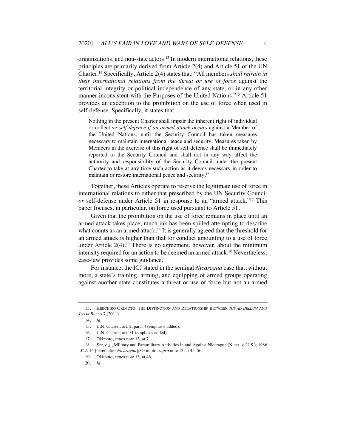organizations, and non-state actors.13 In modern international relations, these principles are primarily derived from Article 2(4) and Article 51 of the UN Charter.14 Specifically, Article 2(4) states that: "All members *shall refrain in their international relations from the threat or use of force* against the territorial integrity or political independence of any state, or in any other manner inconsistent with the Purposes of the United Nations."15 Article 51 provides an exception to the prohibition on the use of force when used in self-defense. Specifically, it states that:

Nothing in the present Charter shall impair the inherent right of individual or collective *self-defence if an armed attack occurs* against a Member of the United Nations, until the Security Council has taken measures necessary to maintain international peace and security. Measures taken by Members in the exercise of this right of self-defence shall be immediately reported to the Security Council and shall not in any way affect the authority and responsibility of the Security Council under the present Charter to take at any time such action as it deems necessary in order to maintain or restore international peace and security.16

Together, these Articles operate to reserve the legitimate use of force in international relations to either that prescribed by the UN Security Council *or* self-defense under Article 51 in response to an "armed attack."17 This paper focuses, in particular, on force used pursuant to Article 51.

Given that the prohibition on the use of force remains in place until an armed attack takes place, much ink has been spilled attempting to describe what counts as an armed attack.<sup>18</sup> It is generally agreed that the threshold for an armed attack is higher than that for conduct amounting to a use of force under Article  $2(4)$ .<sup>19</sup> There is no agreement, however, about the minimum intensity required for an action to be deemed an armed attack.<sup>20</sup> Nevertheless, case-law provides some guidance.

For instance, the ICJ stated in the seminal *Nicaragua* case that, without more, a state's training, arming, and equipping of armed groups operating against another state constitutes a threat or use of force but not an armed

<sup>13.</sup> KEIICHIRO OKIMOTO, THE DISTINCTION AND RELATIONSHIP BETWEEN *JUS AD BELLUM* AND *JUS IN BELLO* 7 (2011).

<sup>14.</sup> *Id.*

<sup>15.</sup> U.N. Charter, art. 2, para. 4 (emphasis added).

<sup>16.</sup> U.N. Charter, art. 51 (emphasis added).

<sup>17.</sup> Okimoto, *supra* note 13, at 7.

<sup>18.</sup> *See, e.g.*, Military and Paramilitary Activities in and Against Nicaragua (Nicar. v. U.S.), 1986 I.C.J. 14 [hereinafter *Nicaragua*]; Okimoto, *supra* note 13, at 45–56.

<sup>19.</sup> Okimoto, *supra* note 13, at 46.

<sup>20.</sup> *Id.*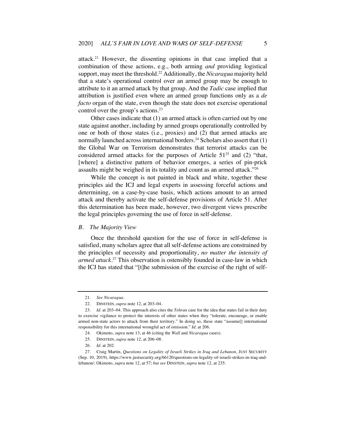attack.21 However, the dissenting opinions in that case implied that a combination of these actions, e.g., both arming *and* providing logistical support, may meet the threshold.22 Additionally, the *Nicaragua* majority held that a state's operational control over an armed group may be enough to attribute to it an armed attack by that group. And the *Tadic* case implied that attribution is justified even where an armed group functions only as a *de facto* organ of the state, even though the state does not exercise operational control over the group's actions.<sup>23</sup>

Other cases indicate that (1) an armed attack is often carried out by one state against another, including by armed groups operationally controlled by one or both of those states (i.e., proxies) and (2) that armed attacks are normally launched across international borders.<sup>24</sup> Scholars also assert that (1) the Global War on Terrorism demonstrates that terrorist attacks can be considered armed attacks for the purposes of Article  $51^{25}$  and (2) "that, [where] a distinctive pattern of behavior emerges, a series of pin-prick assaults might be weighed in its totality and count as an armed attack."26

While the concept is not painted in black and white, together these principles aid the ICJ and legal experts in assessing forceful actions and determining, on a case-by-case basis, which actions amount to an armed attack and thereby activate the self-defense provisions of Article 51. After this determination has been made, however, two divergent views prescribe the legal principles governing the use of force in self-defense.

#### *B. The Majority View*

Once the threshold question for the use of force in self-defense is satisfied, many scholars agree that all self-defense actions are constrained by the principles of necessity and proportionality, *no matter the intensity of armed attack*. <sup>27</sup> This observation is ostensibly founded in case-law in which the ICJ has stated that "[t]he submission of the exercise of the right of self-

<sup>21.</sup> *See Nicaragua*.

<sup>22.</sup> DINSTEIN, *supra* note 12, at 203–04.

<sup>23.</sup> *Id.* at 203–04. This approach also cites the *Tehran* case for the idea that states fail in their duty to exercise vigilance to protect the interests of other states when they "tolerate, encourage, or enable armed non-state actors to attack from their territory." In doing so, these state "assume[] international responsibility for this international wrongful act of omission." *Id.* at 206.

<sup>24.</sup> Okimoto, *supra* note 13, at 46 (citing the *Wall* and *Nicaragua* cases).

<sup>25.</sup> DINSTEIN, *supra* note 12, at 206–08.

<sup>26.</sup> *Id.* at 202.

<sup>27.</sup> Craig Martin, *Questions on Legality of Israeli Strikes in Iraq and Lebanon*, JUST SECURITY (Sep. 10, 2019), https://www.justsecurity.org/66120/questions-on-legality-of-israeli-strikes-in-iraq-andlebanon/; Okimoto, *supra* note 12, at 57; *but see* DINSTEIN, *supra* note 12, at 235.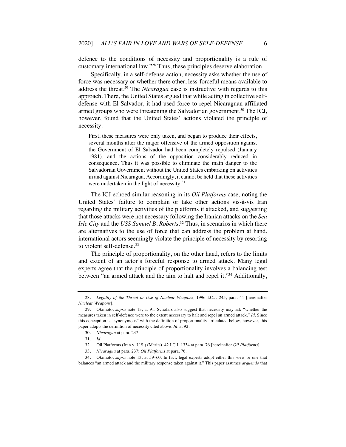defence to the conditions of necessity and proportionality is a rule of customary international law."28 Thus, these principles deserve elaboration.

Specifically, in a self-defense action, necessity asks whether the use of force was necessary or whether there other, less-forceful means available to address the threat.29 The *Nicaragua* case is instructive with regards to this approach. There, the United States argued that while acting in collective selfdefense with El-Salvador, it had used force to repel Nicaraguan-affiliated armed groups who were threatening the Salvadorian government.<sup>30</sup> The ICJ, however, found that the United States' actions violated the principle of necessity:

First, these measures were only taken, and began to produce their effects, several months after the major offensive of the armed opposition against the Government of El Salvador had been completely repulsed (January 1981), and the actions of the opposition considerably reduced in consequence. Thus it was possible to eliminate the main danger to the Salvadorian Government without the United States embarking on activities in and against Nicaragua. Accordingly, it cannot be held that these activities were undertaken in the light of necessity.<sup>31</sup>

The ICJ echoed similar reasoning in its *Oil Platforms* case, noting the United States' failure to complain or take other actions vis-à-vis Iran regarding the military activities of the platforms it attacked, and suggesting that those attacks were not necessary following the Iranian attacks on the *Sea Isle City* and the *USS Samuel B. Roberts*. <sup>32</sup> Thus, in scenarios in which there are alternatives to the use of force that can address the problem at hand, international actors seemingly violate the principle of necessity by resorting to violent self-defense.<sup>33</sup>

The principle of proportionality, on the other hand, refers to the limits and extent of an actor's forceful response to armed attack. Many legal experts agree that the principle of proportionality involves a balancing test between "an armed attack and the aim to halt and repel it."<sup>34</sup> Additionally,

<sup>28.</sup> *Legality of the Threat or Use of Nuclear Weapons,* 1996 I.C.J. 245, para. 41 [hereinafter *Nuclear Weapons*].

<sup>29.</sup> Okimoto, *supra* note 13, at 91. Scholars also suggest that necessity may ask "whether the measures taken in self-defence were to the extent necessary to halt and repel an armed attack." *Id.* Since this conception is "synonymous" with the definition of proportionality articulated below, however, this paper adopts the definition of necessity cited above. *Id.* at 92.

<sup>30.</sup> *Nicaragua* at para. 237.

<sup>31.</sup> *Id.*

<sup>32.</sup> Oil Platforms (Iran v. U.S.) (Merits), 42 I.C.J. 1334 at para. 76 [hereinafter *Oil Platforms*].

<sup>33.</sup> *Nicaragua* at para. 237; *Oil Platforms* at para. 76.

<sup>34.</sup> Okimoto, *supra* note 13, at 59–60. In fact, legal experts adopt either this view or one that balances "an armed attack and the military response taken against it." This paper assumes *arguendo* that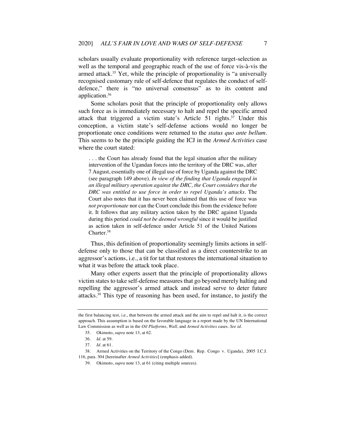scholars usually evaluate proportionality with reference target-selection as well as the temporal and geographic reach of the use of force vis-à-vis the armed attack.<sup>35</sup> Yet, while the principle of proportionality is "a universally recognised customary rule of self-defence that regulates the conduct of selfdefence," there is "no universal consensus" as to its content and application.36

Some scholars posit that the principle of proportionality only allows such force as is immediately necessary to halt and repel the specific armed attack that triggered a victim state's Article  $51$  rights.<sup>37</sup> Under this conception, a victim state's self-defense actions would no longer be proportionate once conditions were returned to the *status quo ante bellum*. This seems to be the principle guiding the ICJ in the *Armed Activities* case where the court stated:

. . . the Court has already found that the legal situation after the military intervention of the Ugandan forces into the territory of the DRC was, after 7 August, essentially one of illegal use of force by Uganda against the DRC (see paragraph 149 above). *In view of the finding that Uganda engaged in an illegal military operation against the DRC, the Court considers that the DRC was entitled to use force in order to repel Uganda's attacks.* The Court also notes that it has never been claimed that this use of force was *not proportionate* nor can the Court conclude this from the evidence before it. It follows that any military action taken by the DRC against Uganda during this period *could not be deemed wrongful* since it would be justified as action taken in self-defence under Article 51 of the United Nations Charter.38

Thus, this definition of proportionality seemingly limits actions in selfdefense only to those that can be classified as a direct counterstrike to an aggressor's actions, i.e., a tit for tat that restores the international situation to what it was before the attack took place.

Many other experts assert that the principle of proportionality allows victim states to take self-defense measures that go beyond merely halting and repelling the aggressor's armed attack and instead serve to deter future attacks.39 This type of reasoning has been used, for instance, to justify the

the first balancing test, i.e., that between the armed attack and the aim to repel and halt it, is the correct approach. This assumption is based on the favorable language in a report made by the UN International Law Commission as well as in the *Oil Platforms*, *Wall*, and *Armed Activities* cases. *See id.*

<sup>35.</sup> Okimoto, *supra* note 13, at 62.

<sup>36</sup>*. Id.* at 59.

<sup>37.</sup> *Id.* at 61.

<sup>38.</sup> Armed Activities on the Territory of the Congo (Dem. Rep. Congo v. Uganda), 2005 I.C.J. 116, para. 304 [hereinafter *Armed Activities*] (emphasis added).

<sup>39.</sup> Okimoto, *supra* note 13, at 61 (citing multiple sources).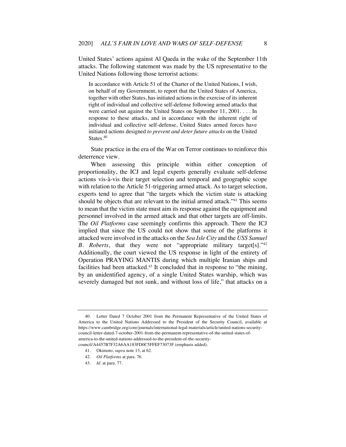United States' actions against Al Qaeda in the wake of the September 11th attacks. The following statement was made by the US representative to the United Nations following those terrorist actions:

In accordance with Article 51 of the Charter of the United Nations, I wish, on behalf of my Government, to report that the United States of America, together with other States, has initiated actions in the exercise of its inherent right of individual and collective self-defense following armed attacks that were carried out against the United States on September 11, 2001. . . . In response to these attacks, and in accordance with the inherent right of individual and collective self-defense, United States armed forces have initiated actions designed *to prevent and deter future attacks* on the United States.<sup>40</sup>

State practice in the era of the War on Terror continues to reinforce this deterrence view.

When assessing this principle within either conception of proportionality, the ICJ and legal experts generally evaluate self-defense actions vis-à-vis their target selection and temporal and geographic scope with relation to the Article 51-triggering armed attack. As to target selection, experts tend to agree that "the targets which the victim state is attacking should be objects that are relevant to the initial armed attack."41 This seems to mean that the victim state must aim its response against the equipment and personnel involved in the armed attack and that other targets are off-limits. The *Oil Platforms* case seemingly confirms this approach. There the ICJ implied that since the US could not show that some of the platforms it attacked were involved in the attacks on the *Sea Isle City* and the *USS Samuel B. Roberts*, that they were not "appropriate military target[s]."42 Additionally, the court viewed the US response in light of the entirety of Operation PRAYING MANTIS during which multiple Iranian ships and facilities had been attacked.<sup>43</sup> It concluded that in response to "the mining, by an unidentified agency, of a single United States warship, which was severely damaged but not sunk, and without loss of life," that attacks on a

<sup>40.</sup> Letter Dated 7 October 2001 from the Permanent Representative of the United States of America to the United Nations Addressed to the President of the Security Council, available at https://www.cambridge.org/core/journals/international-legal-materials/article/united-nations-securitycouncil-letter-dated-7-october-2001-from-the-permanent-representative-of-the-united-states-ofamerica-to-the-united-nations-addressed-to-the-president-of-the-securitycouncil/A4457B7F32A6AA183FD0C5FFEF73073F (emphasis added).

<sup>41.</sup> Okimoto, *supra* note 13, at 62.

<sup>42.</sup> *Oil Platforms* at para. 76.

<sup>43.</sup> *Id.* at para. 77.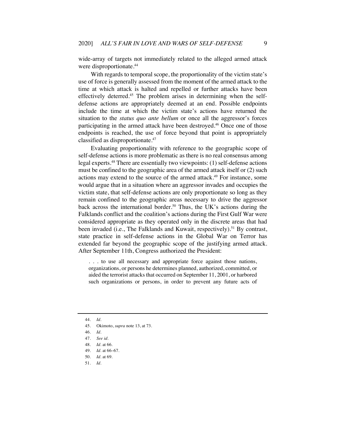wide-array of targets not immediately related to the alleged armed attack were disproportionate.<sup>44</sup>

With regards to temporal scope, the proportionality of the victim state's use of force is generally assessed from the moment of the armed attack to the time at which attack is halted and repelled or further attacks have been effectively deterred.<sup>45</sup> The problem arises in determining when the selfdefense actions are appropriately deemed at an end. Possible endpoints include the time at which the victim state's actions have returned the situation to the *status quo ante bellum* or once all the aggressor's forces participating in the armed attack have been destroyed.46 Once one of those endpoints is reached, the use of force beyond that point is appropriately classified as disproportionate.47

Evaluating proportionality with reference to the geographic scope of self-defense actions is more problematic as there is no real consensus among legal experts.48 There are essentially two viewpoints: (1) self-defense actions must be confined to the geographic area of the armed attack itself or (2) such actions may extend to the source of the armed attack.<sup>49</sup> For instance, some would argue that in a situation where an aggressor invades and occupies the victim state, that self-defense actions are only proportionate so long as they remain confined to the geographic areas necessary to drive the aggressor back across the international border.<sup>50</sup> Thus, the UK's actions during the Falklands conflict and the coalition's actions during the First Gulf War were considered appropriate as they operated only in the discrete areas that had been invaded (i.e., The Falklands and Kuwait, respectively).<sup>51</sup> By contrast, state practice in self-defense actions in the Global War on Terror has extended far beyond the geographic scope of the justifying armed attack. After September 11th, Congress authorized the President:

. . . to use all necessary and appropriate force against those nations, organizations, or persons he determines planned, authorized, committed, or aided the terrorist attacks that occurred on September 11, 2001, or harbored such organizations or persons, in order to prevent any future acts of

- 44. *Id.*
- 45. Okimoto, *supra* note 13, at 73.

48. *Id.* at 66.

<sup>46.</sup> *Id.*

<sup>47.</sup> *See id.*

<sup>49.</sup> *Id.* at 66–67.

<sup>50.</sup> *Id.* at 69.

<sup>51.</sup> *Id.*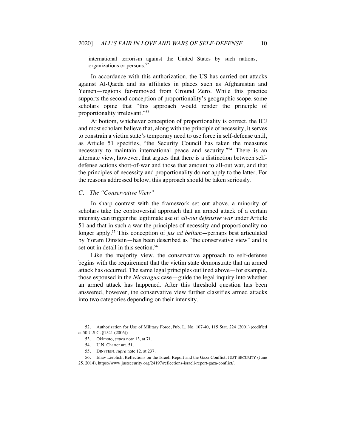international terrorism against the United States by such nations, organizations or persons.52

In accordance with this authorization, the US has carried out attacks against Al-Qaeda and its affiliates in places such as Afghanistan and Yemen—regions far-removed from Ground Zero. While this practice supports the second conception of proportionality's geographic scope, some scholars opine that "this approach would render the principle of proportionality irrelevant."53

At bottom, whichever conception of proportionality is correct, the ICJ and most scholars believe that, along with the principle of necessity, it serves to constrain a victim state's temporary need to use force in self-defense until, as Article 51 specifies, "the Security Council has taken the measures necessary to maintain international peace and security."54 There is an alternate view, however, that argues that there is a distinction between selfdefense actions short-of-war and those that amount to all-out war, and that the principles of necessity and proportionality do not apply to the latter. For the reasons addressed below, this approach should be taken seriously.

# *C. The "Conservative View"*

In sharp contrast with the framework set out above, a minority of scholars take the controversial approach that an armed attack of a certain intensity can trigger the legitimate use of *all-out defensive war* under Article 51 and that in such a war the principles of necessity and proportionality no longer apply.55 This conception of *jus ad bellum—*perhaps best articulated by Yoram Dinstein—has been described as "the conservative view" and is set out in detail in this section.<sup>56</sup>

Like the majority view, the conservative approach to self-defense begins with the requirement that the victim state demonstrate that an armed attack has occurred. The same legal principles outlined above—for example, those espoused in the *Nicaragua* case—guide the legal inquiry into whether an armed attack has happened. After this threshold question has been answered, however, the conservative view further classifies armed attacks into two categories depending on their intensity.

<sup>52.</sup> Authorization for Use of Military Force, Pub. L. No. 107-40, 115 Stat. 224 (2001) (codified at 50 U.S.C. §1541 (2006))

<sup>53.</sup> Okimoto, *supra* note 13, at 71.

<sup>54.</sup> U.N. Charter art. 51.

<sup>55.</sup> DINSTEIN, *supra* note 12, at 237.

<sup>56.</sup> Eliav Lieblich, Reflections on the Israeli Report and the Gaza Conflict, JUST SECURITY (June 25, 2014), https://www.justsecurity.org/24197/reflections-israeli-report-gaza-conflict/.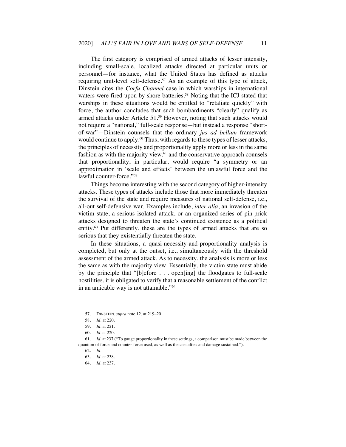The first category is comprised of armed attacks of lesser intensity, including small-scale, localized attacks directed at particular units or personnel—for instance, what the United States has defined as attacks requiring unit-level self-defense.<sup>57</sup> As an example of this type of attack, Dinstein cites the *Corfu Channel* case in which warships in international waters were fired upon by shore batteries.<sup>58</sup> Noting that the ICJ stated that warships in these situations would be entitled to "retaliate quickly" with force, the author concludes that such bombardments "clearly" qualify as armed attacks under Article 51.59 However, noting that such attacks would not require a "national," full-scale response—but instead a response "shortof-war"—Dinstein counsels that the ordinary *jus ad bellum* framework would continue to apply.<sup>60</sup> Thus, with regards to these types of lesser attacks, the principles of necessity and proportionality apply more or less in the same fashion as with the majority view, $61$  and the conservative approach counsels that proportionality, in particular, would require "a symmetry or an approximation in 'scale and effects' between the unlawful force and the lawful counter-force."62

Things become interesting with the second category of higher-intensity attacks. These types of attacks include those that more immediately threaten the survival of the state and require measures of national self-defense, i.e., all-out self-defensive war. Examples include, *inter alia*, an invasion of the victim state, a serious isolated attack, or an organized series of pin-prick attacks designed to threaten the state's continued existence as a political entity.<sup>63</sup> Put differently, these are the types of armed attacks that are so serious that they existentially threaten the state.

In these situations, a quasi-necessity-and-proportionality analysis is completed, but only at the outset, i.e., simultaneously with the threshold assessment of the armed attack. As to necessity, the analysis is more or less the same as with the majority view. Essentially, the victim state must abide by the principle that "[b]efore . . . open[ing] the floodgates to full-scale hostilities, it is obligated to verify that a reasonable settlement of the conflict in an amicable way is not attainable."64

<sup>57.</sup> DINSTEIN, *supra* note 12, at 219–20.

<sup>58.</sup> *Id.* at 220.

<sup>59.</sup> *Id.* at 221.

<sup>60.</sup> *Id.* at 220.

<sup>61.</sup> *Id.* at 237 ("To gauge proportionality in these settings, a comparison must be made between the quantum of force and counter-force used, as well as the casualties and damage sustained.").

<sup>62.</sup> *Id.*

<sup>63.</sup> *Id.* at 238.

<sup>64.</sup> *Id.* at 237.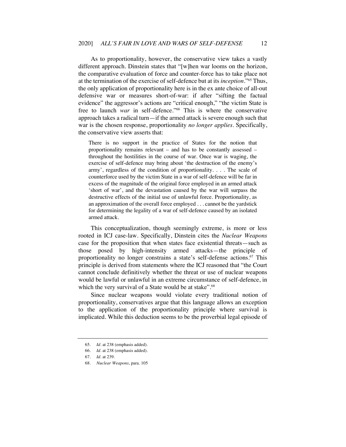As to proportionality, however, the conservative view takes a vastly different approach. Dinstein states that "[w]hen war looms on the horizon, the comparative evaluation of force and counter-force has to take place not at the termination of the exercise of self-defence but at its *inception*."65 Thus, the only application of proportionality here is in the ex ante choice of all-out defensive war or measures short-of-war: if after "sifting the factual evidence" the aggressor's actions are "critical enough," "the victim State is free to launch *war* in self-defence."<sup>66</sup> This is where the conservative approach takes a radical turn—if the armed attack is severe enough such that war is the chosen response, proportionality *no longer applies*. Specifically, the conservative view asserts that:

There is no support in the practice of States for the notion that proportionality remains relevant – and has to be constantly assessed – throughout the hostilities in the course of war. Once war is waging, the exercise of self-defence may bring about 'the destruction of the enemy's army', regardless of the condition of proportionality. . . . The scale of counterforce used by the victim State in a war of self-defence will be far in excess of the magnitude of the original force employed in an armed attack 'short of war', and the devastation caused by the war will surpass the destructive effects of the initial use of unlawful force. Proportionality, as an approximation of the overall force employed . . . cannot be the yardstick for determining the legality of a war of self-defence caused by an isolated armed attack.

This conceptualization, though seemingly extreme, is more or less rooted in ICJ case-law. Specifically, Dinstein cites the *Nuclear Weapons* case for the proposition that when states face existential threats—such as those posed by high-intensity armed attacks—the principle of proportionality no longer constrains a state's self-defense actions.<sup>67</sup> This principle is derived from statements where the ICJ reasoned that "the Court cannot conclude definitively whether the threat or use of nuclear weapons would be lawful or unlawful in an extreme circumstance of self-defence, in which the very survival of a State would be at stake".<sup>68</sup>

Since nuclear weapons would violate every traditional notion of proportionality, conservatives argue that this language allows an exception to the application of the proportionality principle where survival is implicated. While this deduction seems to be the proverbial legal episode of

<sup>65.</sup> *Id.* at 238 (emphasis added).

<sup>66.</sup> *Id.* at 238 (emphasis added).

<sup>67.</sup> *Id.* at 239.

<sup>68.</sup> *Nuclear Weapons*, para. 105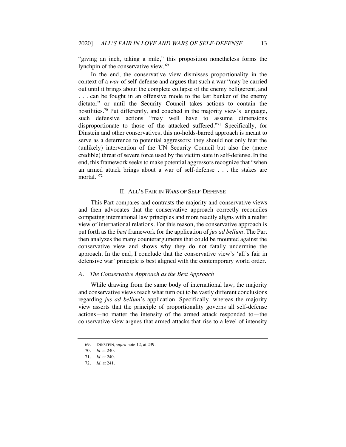"giving an inch, taking a mile," this proposition nonetheless forms the lynchpin of the conservative view.<sup>69</sup>

In the end, the conservative view dismisses proportionality in the context of a *war* of self-defense and argues that such a war "may be carried out until it brings about the complete collapse of the enemy belligerent, and . . . can be fought in an offensive mode to the last bunker of the enemy dictator" or until the Security Council takes actions to contain the hostilities.<sup>70</sup> Put differently, and couched in the majority view's language, such defensive actions "may well have to assume dimensions disproportionate to those of the attacked suffered."71 Specifically, for Dinstein and other conservatives, this no-holds-barred approach is meant to serve as a deterrence to potential aggressors: they should not only fear the (unlikely) intervention of the UN Security Council but also the (more credible) threat of severe force used by the victim state in self-defense. In the end, this framework seeks to make potential aggressors recognize that "when an armed attack brings about a war of self-defense . . . the stakes are mortal."72

## II. ALL'S FAIR IN *WARS* OF SELF-DEFENSE

This Part compares and contrasts the majority and conservative views and then advocates that the conservative approach correctly reconciles competing international law principles and more readily aligns with a realist view of international relations. For this reason, the conservative approach is put forth as the *best* framework for the application of *jus ad bellum*. The Part then analyzes the many counterarguments that could be mounted against the conservative view and shows why they do not fatally undermine the approach. In the end, I conclude that the conservative view's 'all's fair in defensive war' principle is best aligned with the contemporary world order.

# *A. The Conservative Approach as the Best Approach*

While drawing from the same body of international law, the majority and conservative views reach what turn out to be vastly different conclusions regarding *jus ad bellum*'s application. Specifically, whereas the majority view asserts that the principle of proportionality governs all self-defense actions—no matter the intensity of the armed attack responded to—the conservative view argues that armed attacks that rise to a level of intensity

<sup>69.</sup> DINSTEIN, *supra* note 12, at 239.

<sup>70.</sup> *Id.* at 240.

<sup>71.</sup> *Id.* at 240.

<sup>72.</sup> *Id.* at 241.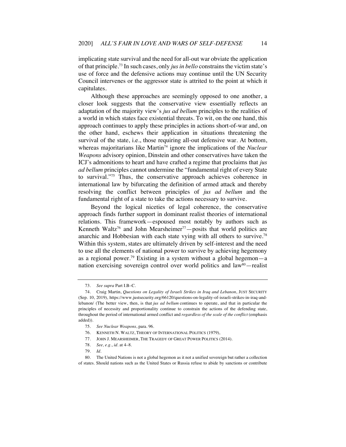implicating state survival and the need for all-out war obviate the application of that principle.73 In such cases, only *jus in bello* constrains the victim state's use of force and the defensive actions may continue until the UN Security Council intervenes or the aggressor state is attrited to the point at which it capitulates.

Although these approaches are seemingly opposed to one another, a closer look suggests that the conservative view essentially reflects an adaptation of the majority view's *jus ad bellum* principles to the realities of a world in which states face existential threats. To wit, on the one hand, this approach continues to apply these principles in actions short-of-war and, on the other hand, eschews their application in situations threatening the survival of the state, i.e., those requiring all-out defensive war. At bottom, whereas majoritarians like Martin<sup>74</sup> ignore the implications of the *Nuclear Weapons* advisory opinion, Dinstein and other conservatives have taken the ICJ's admonitions to heart and have crafted a regime that proclaims that *jus ad bellum* principles cannot undermine the "fundamental right of every State to survival."75 Thus, the conservative approach achieves coherence in international law by bifurcating the definition of armed attack and thereby resolving the conflict between principles of *jus ad bellum* and the fundamental right of a state to take the actions necessary to survive.

Beyond the logical niceties of legal coherence, the conservative approach finds further support in dominant realist theories of international relations. This framework—espoused most notably by authors such as Kenneth Waltz<sup>76</sup> and John Mearsheimer<sup>77</sup> - posits that world politics are anarchic and Hobbesian with each state vying with all others to survive.<sup>78</sup> Within this system, states are ultimately driven by self-interest and the need to use all the elements of national power to survive by achieving hegemony as a regional power.<sup>79</sup> Existing in a system without a global hegemon—a nation exercising sovereign control over world politics and law<sup>80</sup>—realist

<sup>73.</sup> *See supra* Part I.B–C.

<sup>74.</sup> Craig Martin, *Questions on Legality of Israeli Strikes in Iraq and Lebanon*, JUST SECURITY (Sep. 10, 2019), https://www.justsecurity.org/66120/questions-on-legality-of-israeli-strikes-in-iraq-andlebanon/ (The better view, then, is that *jus ad bellum* continues to operate, and that in particular the principles of necessity and proportionality continue to constrain the actions of the defending state, throughout the period of international armed conflict and *regardless of the scale of the conflict* (emphasis added)).

<sup>75.</sup> *See Nuclear Weapons*, para. 96.

<sup>76.</sup> KENNETH N. WALTZ, THEORY OF INTERNATIONAL POLITICS (1979),

<sup>77.</sup> JOHN J. MEARSHEIMER, THE TRAGEDY OF GREAT POWER POLITICS (2014).

<sup>78.</sup> *See, e.g.*, *id.* at 4–8.

<sup>79.</sup> *Id.*

<sup>80.</sup> The United Nations is not a global hegemon as it not a unified sovereign but rather a collection of states. Should nations such as the United States or Russia refuse to abide by sanctions or contribute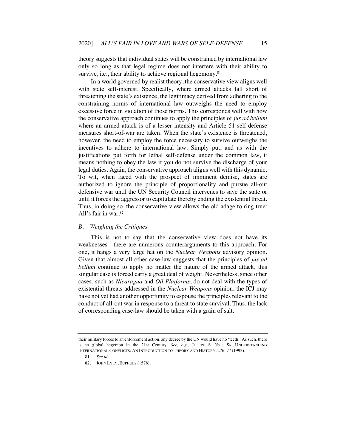theory suggests that individual states will be constrained by international law only so long as that legal regime does not interfere with their ability to survive, i.e., their ability to achieve regional hegemony.<sup>81</sup>

In a world governed by realist theory, the conservative view aligns well with state self-interest. Specifically, where armed attacks fall short of threatening the state's existence, the legitimacy derived from adhering to the constraining norms of international law outweighs the need to employ excessive force in violation of those norms. This corresponds well with how the conservative approach continues to apply the principles of *jus ad bellum*  where an armed attack is of a lesser intensity and Article 51 self-defense measures short-of-war are taken. When the state's existence is threatened, however, the need to employ the force necessary to survive outweighs the incentives to adhere to international law. Simply put, and as with the justifications put forth for lethal self-defense under the common law, it means nothing to obey the law if you do not survive the discharge of your legal duties. Again, the conservative approach aligns well with this dynamic. To wit, when faced with the prospect of imminent demise, states are authorized to ignore the principle of proportionality and pursue all-out defensive war until the UN Security Council intervenes to save the state or until it forces the aggressor to capitulate thereby ending the existential threat. Thus, in doing so, the conservative view allows the old adage to ring true: All's fair in war.82

# *B. Weighing the Critiques*

This is not to say that the conservative view does not have its weaknesses—there are numerous counterarguments to this approach. For one, it hangs a very large hat on the *Nuclear Weapons* advisory opinion. Given that almost all other case-law suggests that the principles of *jus ad bellum* continue to apply no matter the nature of the armed attack, this singular case is forced carry a great deal of weight. Nevertheless, since other cases, such as *Nicaragua* and *Oil Platforms*, do not deal with the types of existential threats addressed in the *Nuclear Weapons* opinion, the ICJ may have not yet had another opportunity to espouse the principles relevant to the conduct of all-out war in response to a threat to state survival. Thus, the lack of corresponding case-law should be taken with a grain of salt.

their military forces to an enforcement action, any decree by the UN would have no 'teeth.' As such, there is no global hegemon in the 21st Century. *See, e.g.*, JOSEPH S. NYE, SR., UNDERSTANDING INTERNATIONAL CONFLICTS: AN INTRODUCTION TO THEORY AND HISTORY, 276–77 (1993).

<sup>81.</sup> *See id.*

<sup>82.</sup> JOHN LYLY, EUPHUES (1578).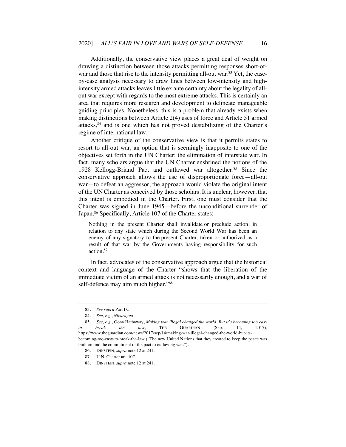Additionally, the conservative view places a great deal of weight on drawing a distinction between those attacks permitting responses short-ofwar and those that rise to the intensity permitting all-out war.<sup>83</sup> Yet, the caseby-case analysis necessary to draw lines between low-intensity and highintensity armed attacks leaves little ex ante certainty about the legality of allout war except with regards to the most extreme attacks. This is certainly an area that requires more research and development to delineate manageable guiding principles. Nonetheless, this is a problem that already exists when making distinctions between Article 2(4) uses of force and Article 51 armed attacks, $84$  and is one which has not proved destabilizing of the Charter's regime of international law.

Another critique of the conservative view is that it permits states to resort to all-out war, an option that is seemingly inapposite to one of the objectives set forth in the UN Charter: the elimination of interstate war. In fact, many scholars argue that the UN Charter enshrined the notions of the 1928 Kellogg-Briand Pact and outlawed war altogether.85 Since the conservative approach allows the use of disproportionate force—all-out war—to defeat an aggressor, the approach would violate the original intent of the UN Charter as conceived by those scholars. It is unclear, however, that this intent is embodied in the Charter. First, one must consider that the Charter was signed in June 1945—before the unconditional surrender of Japan.<sup>86</sup> Specifically, Article 107 of the Charter states:

Nothing in the present Charter shall invalidate or preclude action, in relation to any state which during the Second World War has been an enemy of any signatory to the present Charter, taken or authorized as a result of that war by the Governments having responsibility for such action.87

In fact, advocates of the conservative approach argue that the historical context and language of the Charter "shows that the liberation of the immediate victim of an armed attack is not necessarily enough, and a war of self-defence may aim much higher."<sup>88</sup>

<sup>83.</sup> *See supra* Part I.C.

<sup>84.</sup> *See, e.g.*, *Nicaragua*.

<sup>85.</sup> *See, e.g.*, Oona Hathaway, *Making war illegal changed the world. But it's becoming too easy to break the law*, THE GUARDIAN (Sep. 14, 2017), https://www.theguardian.com/news/2017/sep/14/making-war-illegal-changed-the-world-but-itsbecoming-too-easy-to-break-the-law ("The new United Nations that they created to keep the peace was built around the commitment of the pact to outlawing war.").

<sup>86.</sup> DINSTEIN, *supra* note 12 at 241.

<sup>87.</sup> U.N. Charter art. 107.

<sup>88.</sup> DINSTEIN, *supra* note 12 at 241.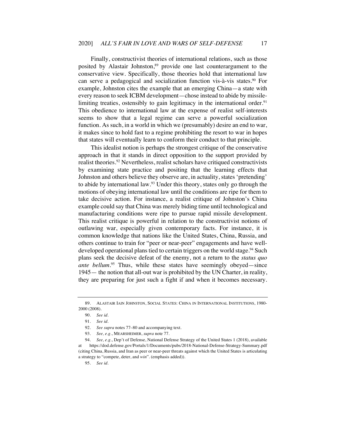Finally, constructivist theories of international relations, such as those posited by Alastair Johnston,<sup>89</sup> provide one last counterargument to the conservative view. Specifically, those theories hold that international law can serve a pedagogical and socialization function vis-à-vis states.<sup>90</sup> For example, Johnston cites the example that an emerging China—a state with every reason to seek ICBM development—chose instead to abide by missilelimiting treaties, ostensibly to gain legitimacy in the international order.<sup>91</sup> This obedience to international law at the expense of realist self-interests seems to show that a legal regime can serve a powerful socialization function. As such, in a world in which we (presumably) desire an end to war, it makes since to hold fast to a regime prohibiting the resort to war in hopes that states will eventually learn to conform their conduct to that principle.

This idealist notion is perhaps the strongest critique of the conservative approach in that it stands in direct opposition to the support provided by realist theories.<sup>92</sup> Nevertheless, realist scholars have critiqued constructivists by examining state practice and positing that the learning effects that Johnston and others believe they observe are, in actuality, states 'pretending' to abide by international law.<sup>93</sup> Under this theory, states only go through the motions of obeying international law until the conditions are ripe for them to take decisive action. For instance, a realist critique of Johnston's China example could say that China was merely biding time until technological and manufacturing conditions were ripe to pursue rapid missile development. This realist critique is powerful in relation to the constructivist notions of outlawing war, especially given contemporary facts. For instance, it is common knowledge that nations like the United States, China, Russia, and others continue to train for "peer or near-peer" engagements and have welldeveloped operational plans tied to certain triggers on the world stage.<sup>94</sup> Such plans seek the decisive defeat of the enemy, not a return to the *status quo ante bellum.*<sup>95</sup> Thus, while these states have seemingly obeyed—since 1945— the notion that all-out war is prohibited by the UN Charter, in reality, they are preparing for just such a fight if and when it becomes necessary.

<sup>89.</sup> ALASTAIR IAIN JOHNSTON, SOCIAL STATES: CHINA IN INTERNATIONAL INSTITUTIONS, 1980- 2000 (2008).

<sup>90.</sup> *See id.*

<sup>91.</sup> *See id.*

<sup>92.</sup> *See supra* notes 77–80 and accompanying text.

<sup>93.</sup> *See, e.g.*, MEARSHEIMER, *supra* note 77.

<sup>94.</sup> *See, e.g.*, Dep't of Defense, National Defense Strategy of the United States 1 (2018), available at https://dod.defense.gov/Portals/1/Documents/pubs/2018-National-Defense-Strategy-Summary.pdf (citing China, Russia, and Iran as peer or near-peer threats against which the United States is articulating a strategy to "compete, deter, and *win*". (emphasis added)).

<sup>95.</sup> *See id.*